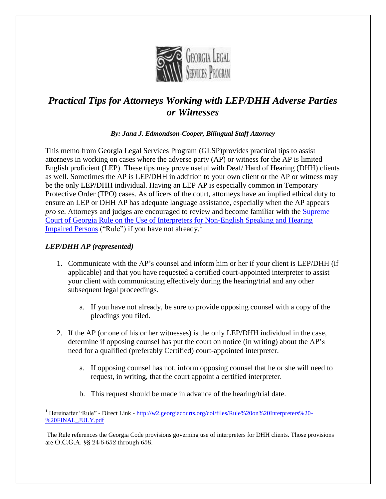

# *Practical Tips for Attorneys Working with LEP/DHH Adverse Parties or Witnesses*

*By: Jana J. Edmondson-Cooper, Bilingual Staff Attorney*

This memo from Georgia Legal Services Program (GLSP)provides practical tips to assist attorneys in working on cases where the adverse party (AP) or witness for the AP is limited English proficient (LEP). These tips may prove useful with Deaf/ Hard of Hearing (DHH) clients as well. Sometimes the AP is LEP/DHH in addition to your own client or the AP or witness may be the only LEP/DHH individual. Having an LEP AP is especially common in Temporary Protective Order (TPO) cases. As officers of the court, attorneys have an implied ethical duty to ensure an LEP or DHH AP has adequate language assistance, especially when the AP appears *pro se*. Attorneys and judges are encouraged to review and become familiar with the [Supreme](http://w2.georgiacourts.org/coi/files/Rule%20on%20Interpreters%20-%20FINAL_JULY.pdf)  [Court of Georgia Rule on the Use of Interpreters](http://w2.georgiacourts.org/coi/files/Rule%20on%20Interpreters%20-%20FINAL_JULY.pdf) for Non-English Speaking and Hearing Impaired Persons ("Rule") if you have not already.<sup>1</sup>

## *LEP/DHH AP (represented)*

- 1. Communicate with the AP's counsel and inform him or her if your client is LEP/DHH (if applicable) and that you have requested a certified court-appointed interpreter to assist your client with communicating effectively during the hearing/trial and any other subsequent legal proceedings.
	- a. If you have not already, be sure to provide opposing counsel with a copy of the pleadings you filed.
- 2. If the AP (or one of his or her witnesses) is the only LEP/DHH individual in the case, determine if opposing counsel has put the court on notice (in writing) about the AP's need for a qualified (preferably Certified) court-appointed interpreter.
	- a. If opposing counsel has not, inform opposing counsel that he or she will need to request, in writing, that the court appoint a certified interpreter.
	- b. This request should be made in advance of the hearing/trial date.

 $\overline{a}$ <sup>1</sup> Hereinafter "Rule" - Direct Link - [http://w2.georgiacourts.org/coi/files/Rule%20on%20Interpreters%20-](http://w2.georgiacourts.org/coi/files/Rule%20on%20Interpreters%20-%20FINAL_JULY.pdf) [%20FINAL\\_JULY.pdf](http://w2.georgiacourts.org/coi/files/Rule%20on%20Interpreters%20-%20FINAL_JULY.pdf)

The Rule references the Georgia Code provisions governing use of interpreters for DHH clients. Those provisions are O.C.G.A. §§ 24-6-652 through 658.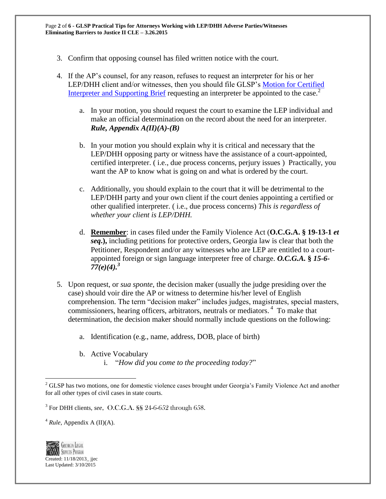- 3. Confirm that opposing counsel has filed written notice with the court.
- 4. If the AP's counsel, for any reason, refuses to request an interpreter for his or her LEP/DHH client and/or witnesses, then you should file GLSP's [Motion for Certified](http://www.georgiaadvocates.org/gojc/library/folder.478604-Pleadings)  [Interpreter and Supporting Brief](http://www.georgiaadvocates.org/gojc/library/folder.478604-Pleadings) requesting an interpreter be appointed to the case.<sup>2</sup>
	- a. In your motion, you should request the court to examine the LEP individual and make an official determination on the record about the need for an interpreter. *Rule, Appendix A(II)(A)-(B)*
	- b. In your motion you should explain why it is critical and necessary that the LEP/DHH opposing party or witness have the assistance of a court-appointed, certified interpreter. ( i.e., due process concerns, perjury issues ) Practically, you want the AP to know what is going on and what is ordered by the court.
	- c. Additionally, you should explain to the court that it will be detrimental to the LEP/DHH party and your own client if the court denies appointing a certified or other qualified interpreter. ( i.e., due process concerns) *This is regardless of whether your client is LEP/DHH.*
	- d. **Remember**: in cases filed under the Family Violence Act (**O.C.G.A. § 19-13-1** *et seq***.),** including petitions for protective orders, Georgia law is clear that both the Petitioner, Respondent and/or any witnesses who are LEP are entitled to a courtappointed foreign or sign language interpreter free of charge. *O.C.G.A.* **§** *15-6- 77(e)(4).<sup>3</sup>*
- 5. Upon request, or *sua sponte*, the decision maker (usually the judge presiding over the case) should voir dire the AP or witness to determine his/her level of English comprehension. The term "decision maker" includes judges, magistrates, special masters, commissioners, hearing officers, arbitrators, neutrals or mediators. 4 To make that determination, the decision maker should normally include questions on the following:
	- a. Identification (e.g., name, address, DOB, place of birth)
	- b. Active Vocabulary
		- i. "*How did you come to the proceeding today?*"

<sup>4</sup> *Rule*, Appendix A (II)(A).



 $\overline{a}$ 

<sup>&</sup>lt;sup>2</sup> GLSP has two motions, one for domestic violence cases brought under Georgia's Family Violence Act and another for all other types of civil cases in state courts.

<sup>3</sup> For DHH clients, *see*, O.C.G.A. §§ 24-6-652 through 658.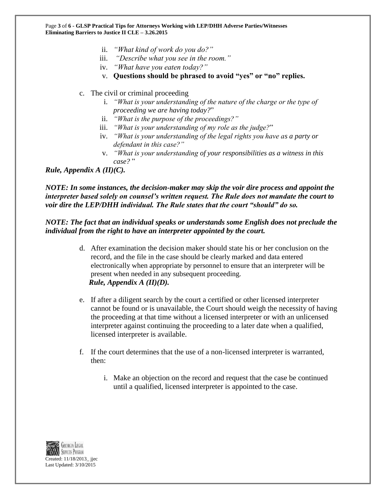Page **3** of **6 - GLSP Practical Tips for Attorneys Working with LEP/DHH Adverse Parties/Witnesses Eliminating Barriers to Justice II CLE – 3.26.2015**

- ii. *"What kind of work do you do?"*
- iii. *"Describe what you see in the room."*
- iv. *"What have you eaten today?"*
- v. **Questions should be phrased to avoid "yes" or "no" replies.**
- c. The civil or criminal proceeding
	- i. *"What is your understanding of the nature of the charge or the type of proceeding we are having today?*"
	- ii. *"What is the purpose of the proceedings?"*
	- iii. *"What is your understanding of my role as the judge?*"
	- iv. *"What is your understanding of the legal rights you have as a party or defendant in this case?"*
	- v. *"What is your understanding of your responsibilities as a witness in this case?* "

*Rule, Appendix A (II)(C).*

*NOTE: In some instances, the decision-maker may skip the voir dire process and appoint the interpreter based solely on counsel's written request. The Rule does not mandate the court to voir dire the LEP/DHH individual. The Rule states that the court "should" do so.*

#### *NOTE: The fact that an individual speaks or understands some English does not preclude the individual from the right to have an interpreter appointed by the court.*

- d. After examination the decision maker should state his or her conclusion on the record, and the file in the case should be clearly marked and data entered electronically when appropriate by personnel to ensure that an interpreter will be present when needed in any subsequent proceeding.  *Rule, Appendix A (II)(D).*
- e. If after a diligent search by the court a certified or other licensed interpreter cannot be found or is unavailable, the Court should weigh the necessity of having the proceeding at that time without a licensed interpreter or with an unlicensed interpreter against continuing the proceeding to a later date when a qualified, licensed interpreter is available.
- f. If the court determines that the use of a non-licensed interpreter is warranted, then:
	- i. Make an objection on the record and request that the case be continued until a qualified, licensed interpreter is appointed to the case.

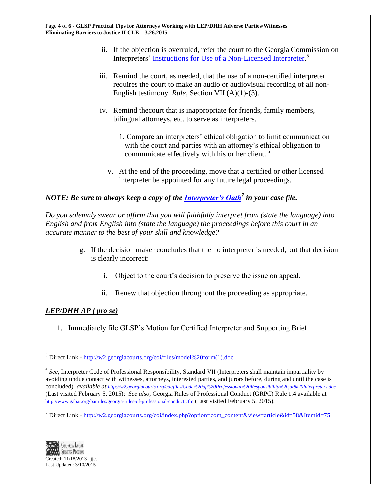- ii. If the objection is overruled, refer the court to the Georgia Commission on Interpreters' [Instructions for Use of a Non-Licensed Interpreter.](http://w2.georgiacourts.org/coi/files/model%20form(1).doc)<sup>5</sup>
- iii. Remind the court, as needed, that the use of a non-certified interpreter requires the court to make an audio or audiovisual recording of all non-English testimony. *Rule*, Section VII (A)(1)-(3).
- iv. Remind thecourt that is inappropriate for friends, family members, bilingual attorneys, etc. to serve as interpreters.
	- 1. Compare an interpreters' ethical obligation to limit communication with the court and parties with an attorney's ethical obligation to communicate effectively with his or her client.<sup>6</sup>
	- v. At the end of the proceeding, move that a certified or other licensed interpreter be appointed for any future legal proceedings.

# *NOTE: Be sure to always keep a copy of the [Interpreter's Oath](http://w2.georgiacourts.org/coi/index.php?option=com_content&view=article&id=58&Itemid=75)<sup>7</sup> in your case file.*

*Do you solemnly swear or affirm that you will faithfully interpret from (state the language) into English and from English into (state the language) the proceedings before this court in an accurate manner to the best of your skill and knowledge?*

- g. If the decision maker concludes that the no interpreter is needed, but that decision is clearly incorrect:
	- i. Object to the court's decision to preserve the issue on appeal.
	- ii. Renew that objection throughout the proceeding as appropriate.

### *LEP/DHH AP ( pro se)*

 $\overline{a}$ 

1. Immediately file GLSP's Motion for Certified Interpreter and Supporting Brief.

<sup>&</sup>lt;sup>7</sup> Direct Link - [http://w2.georgiacourts.org/coi/index.php?option=com\\_content&view=article&id=58&Itemid=75](http://w2.georgiacourts.org/coi/index.php?option=com_content&view=article&id=58&Itemid=75)



<sup>5</sup> Direct Link - [http://w2.georgiacourts.org/coi/files/model%20form\(1\).doc](http://w2.georgiacourts.org/coi/files/model%20form(1).doc)

<sup>&</sup>lt;sup>6</sup> See, Interpreter Code of Professional Responsibility, Standard VII (Interpreters shall maintain impartiality by avoiding undue contact with witnesses, attorneys, interested parties, and jurors before, during and until the case is concluded) *available at <http://w2.georgiacourts.org/coi/files/Code%20of%20Professional%20Responsibility%20for%20Interpreters.doc>* (Last visited February 5, 2015); *See also*, Georgia Rules of Professional Conduct (GRPC) Rule 1.4 available at <http://www.gabar.org/barrules/georgia-rules-of-professional-conduct.cfm> (Last visited February 5, 2015).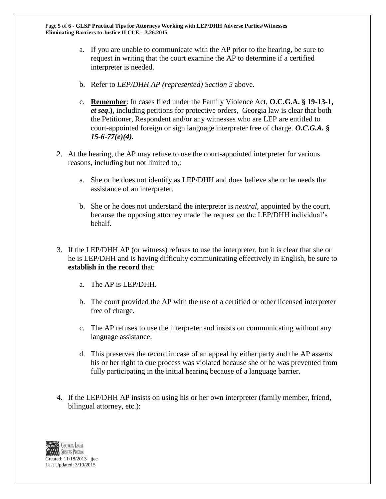- a. If you are unable to communicate with the AP prior to the hearing, be sure to request in writing that the court examine the AP to determine if a certified interpreter is needed.
- b. Refer to *LEP/DHH AP (represented) Section 5* above.
- c. **Remember**: In cases filed under the Family Violence Act, **O.C.G.A. § 19-13-1,**  *et seq***.),** including petitions for protective orders, Georgia law is clear that both the Petitioner, Respondent and/or any witnesses who are LEP are entitled to court-appointed foreign or sign language interpreter free of charge. *O.C.G.A.* **§**  *15-6-77(e)(4).*
- 2. At the hearing, the AP may refuse to use the court-appointed interpreter for various reasons, including but not limited to,:
	- a. She or he does not identify as LEP/DHH and does believe she or he needs the assistance of an interpreter.
	- b. She or he does not understand the interpreter is *neutral,* appointed by the court, because the opposing attorney made the request on the LEP/DHH individual's behalf.
- 3. If the LEP/DHH AP (or witness) refuses to use the interpreter, but it is clear that she or he is LEP/DHH and is having difficulty communicating effectively in English, be sure to **establish in the record** that:
	- a. The AP is LEP/DHH.
	- b. The court provided the AP with the use of a certified or other licensed interpreter free of charge.
	- c. The AP refuses to use the interpreter and insists on communicating without any language assistance.
	- d. This preserves the record in case of an appeal by either party and the AP asserts his or her right to due process was violated because she or he was prevented from fully participating in the initial hearing because of a language barrier.
- 4. If the LEP/DHH AP insists on using his or her own interpreter (family member, friend, bilingual attorney, etc.):